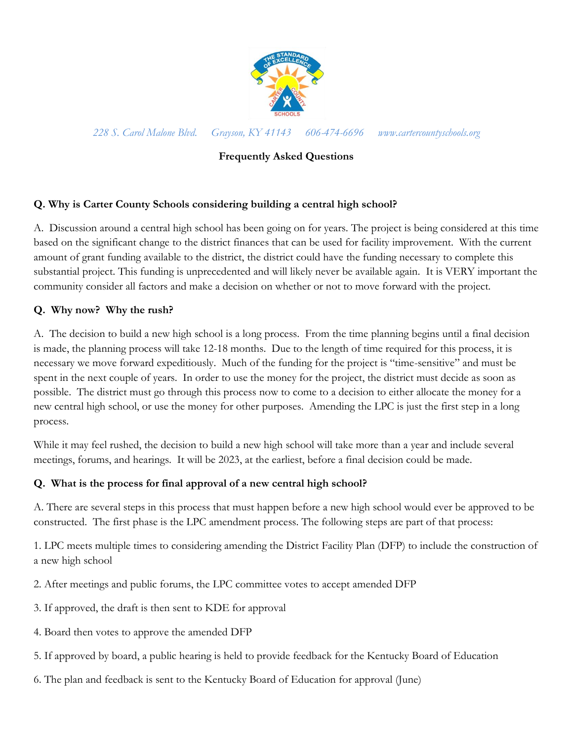

*228 S. Carol Malone Blvd. Grayson, KY 41143 606-474-6696 www.cartercountyschools.org*

# **Frequently Asked Questions**

## **Q. Why is Carter County Schools considering building a central high school?**

A. Discussion around a central high school has been going on for years. The project is being considered at this time based on the significant change to the district finances that can be used for facility improvement. With the current amount of grant funding available to the district, the district could have the funding necessary to complete this substantial project. This funding is unprecedented and will likely never be available again. It is VERY important the community consider all factors and make a decision on whether or not to move forward with the project.

## **Q. Why now? Why the rush?**

A. The decision to build a new high school is a long process. From the time planning begins until a final decision is made, the planning process will take 12-18 months. Due to the length of time required for this process, it is necessary we move forward expeditiously. Much of the funding for the project is "time-sensitive" and must be spent in the next couple of years. In order to use the money for the project, the district must decide as soon as possible. The district must go through this process now to come to a decision to either allocate the money for a new central high school, or use the money for other purposes. Amending the LPC is just the first step in a long process.

While it may feel rushed, the decision to build a new high school will take more than a year and include several meetings, forums, and hearings. It will be 2023, at the earliest, before a final decision could be made.

### **Q. What is the process for final approval of a new central high school?**

A. There are several steps in this process that must happen before a new high school would ever be approved to be constructed. The first phase is the LPC amendment process. The following steps are part of that process:

1. LPC meets multiple times to considering amending the District Facility Plan (DFP) to include the construction of a new high school

- 2. After meetings and public forums, the LPC committee votes to accept amended DFP
- 3. If approved, the draft is then sent to KDE for approval
- 4. Board then votes to approve the amended DFP
- 5. If approved by board, a public hearing is held to provide feedback for the Kentucky Board of Education
- 6. The plan and feedback is sent to the Kentucky Board of Education for approval (June)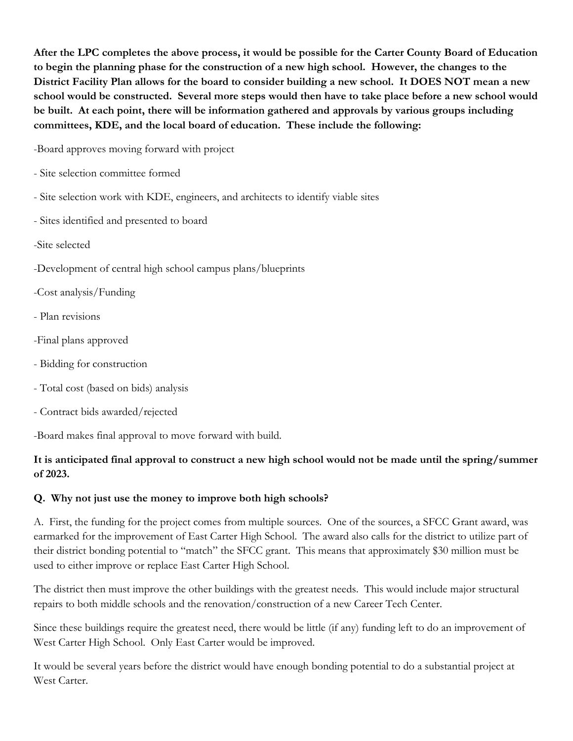**After the LPC completes the above process, it would be possible for the Carter County Board of Education to begin the planning phase for the construction of a new high school. However, the changes to the District Facility Plan allows for the board to consider building a new school. It DOES NOT mean a new school would be constructed. Several more steps would then have to take place before a new school would be built. At each point, there will be information gathered and approvals by various groups including committees, KDE, and the local board of education. These include the following:**

-Board approves moving forward with project

- Site selection committee formed
- Site selection work with KDE, engineers, and architects to identify viable sites
- Sites identified and presented to board
- -Site selected
- -Development of central high school campus plans/blueprints
- -Cost analysis/Funding
- Plan revisions
- -Final plans approved
- Bidding for construction
- Total cost (based on bids) analysis
- Contract bids awarded/rejected

-Board makes final approval to move forward with build.

# **It is anticipated final approval to construct a new high school would not be made until the spring/summer of 2023.**

# **Q. Why not just use the money to improve both high schools?**

A. First, the funding for the project comes from multiple sources. One of the sources, a SFCC Grant award, was earmarked for the improvement of East Carter High School. The award also calls for the district to utilize part of their district bonding potential to "match" the SFCC grant. This means that approximately \$30 million must be used to either improve or replace East Carter High School.

The district then must improve the other buildings with the greatest needs. This would include major structural repairs to both middle schools and the renovation/construction of a new Career Tech Center.

Since these buildings require the greatest need, there would be little (if any) funding left to do an improvement of West Carter High School. Only East Carter would be improved.

It would be several years before the district would have enough bonding potential to do a substantial project at West Carter.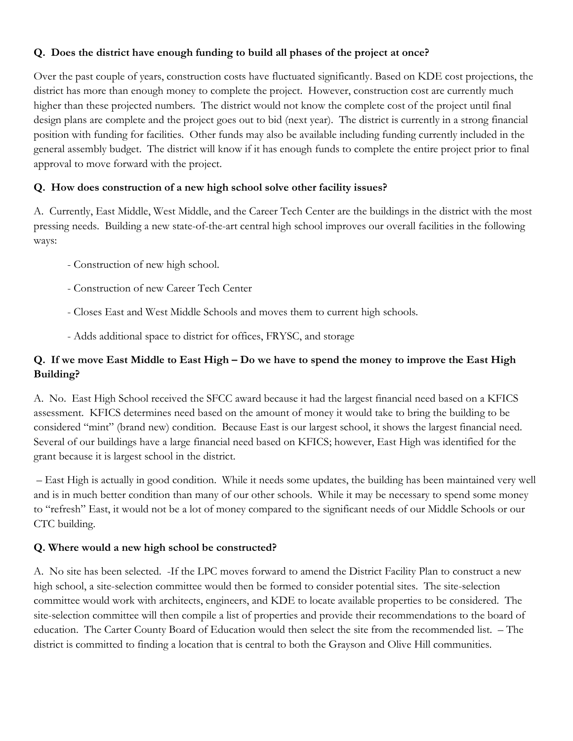### **Q. Does the district have enough funding to build all phases of the project at once?**

Over the past couple of years, construction costs have fluctuated significantly. Based on KDE cost projections, the district has more than enough money to complete the project. However, construction cost are currently much higher than these projected numbers. The district would not know the complete cost of the project until final design plans are complete and the project goes out to bid (next year). The district is currently in a strong financial position with funding for facilities. Other funds may also be available including funding currently included in the general assembly budget. The district will know if it has enough funds to complete the entire project prior to final approval to move forward with the project.

## **Q. How does construction of a new high school solve other facility issues?**

A. Currently, East Middle, West Middle, and the Career Tech Center are the buildings in the district with the most pressing needs. Building a new state-of-the-art central high school improves our overall facilities in the following ways:

- Construction of new high school.
- Construction of new Career Tech Center
- Closes East and West Middle Schools and moves them to current high schools.
- Adds additional space to district for offices, FRYSC, and storage

# **Q. If we move East Middle to East High – Do we have to spend the money to improve the East High Building?**

A. No. East High School received the SFCC award because it had the largest financial need based on a KFICS assessment. KFICS determines need based on the amount of money it would take to bring the building to be considered "mint" (brand new) condition. Because East is our largest school, it shows the largest financial need. Several of our buildings have a large financial need based on KFICS; however, East High was identified for the grant because it is largest school in the district.

– East High is actually in good condition. While it needs some updates, the building has been maintained very well and is in much better condition than many of our other schools. While it may be necessary to spend some money to "refresh" East, it would not be a lot of money compared to the significant needs of our Middle Schools or our CTC building.

# **Q. Where would a new high school be constructed?**

A. No site has been selected. -If the LPC moves forward to amend the District Facility Plan to construct a new high school, a site-selection committee would then be formed to consider potential sites. The site-selection committee would work with architects, engineers, and KDE to locate available properties to be considered. The site-selection committee will then compile a list of properties and provide their recommendations to the board of education. The Carter County Board of Education would then select the site from the recommended list. – The district is committed to finding a location that is central to both the Grayson and Olive Hill communities.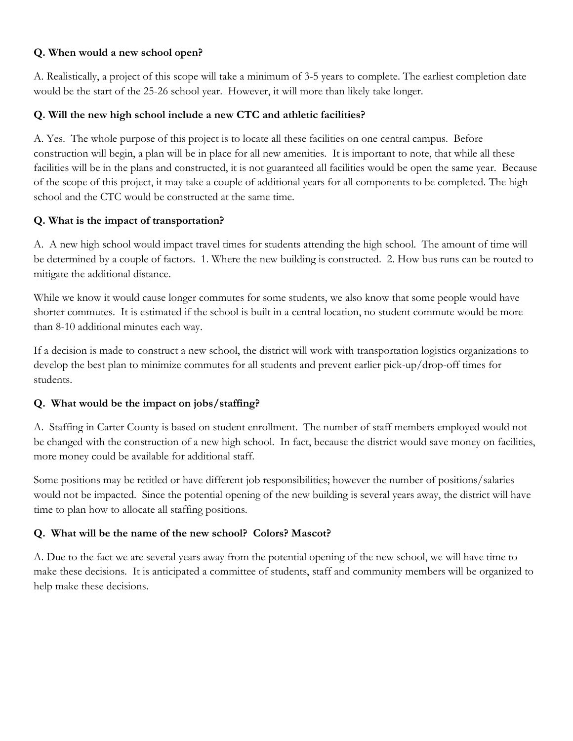#### **Q. When would a new school open?**

A. Realistically, a project of this scope will take a minimum of 3-5 years to complete. The earliest completion date would be the start of the 25-26 school year. However, it will more than likely take longer.

#### **Q. Will the new high school include a new CTC and athletic facilities?**

A. Yes. The whole purpose of this project is to locate all these facilities on one central campus. Before construction will begin, a plan will be in place for all new amenities. It is important to note, that while all these facilities will be in the plans and constructed, it is not guaranteed all facilities would be open the same year. Because of the scope of this project, it may take a couple of additional years for all components to be completed. The high school and the CTC would be constructed at the same time.

#### **Q. What is the impact of transportation?**

A. A new high school would impact travel times for students attending the high school. The amount of time will be determined by a couple of factors. 1. Where the new building is constructed. 2. How bus runs can be routed to mitigate the additional distance.

While we know it would cause longer commutes for some students, we also know that some people would have shorter commutes. It is estimated if the school is built in a central location, no student commute would be more than 8-10 additional minutes each way.

If a decision is made to construct a new school, the district will work with transportation logistics organizations to develop the best plan to minimize commutes for all students and prevent earlier pick-up/drop-off times for students.

### **Q. What would be the impact on jobs/staffing?**

A. Staffing in Carter County is based on student enrollment. The number of staff members employed would not be changed with the construction of a new high school. In fact, because the district would save money on facilities, more money could be available for additional staff.

Some positions may be retitled or have different job responsibilities; however the number of positions/salaries would not be impacted. Since the potential opening of the new building is several years away, the district will have time to plan how to allocate all staffing positions.

### **Q. What will be the name of the new school? Colors? Mascot?**

A. Due to the fact we are several years away from the potential opening of the new school, we will have time to make these decisions. It is anticipated a committee of students, staff and community members will be organized to help make these decisions.